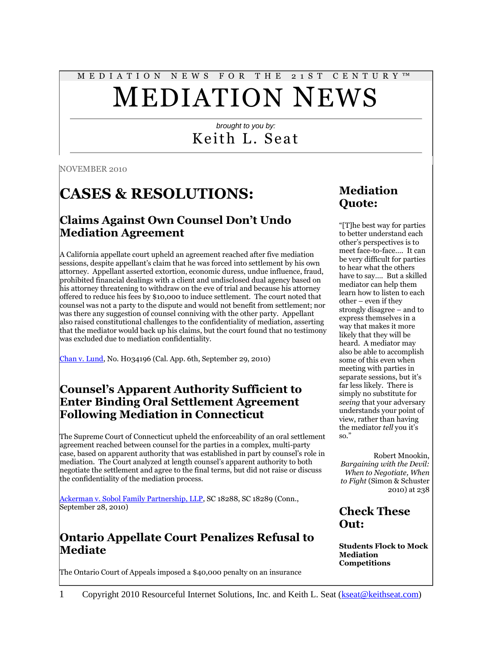# M E D I A T I O N N E W S F O R T H E 2 1 S T C E N T U R Y ™ MEDIATION NEWS

### *brought to you by:* Keith L. Seat

NOVEMBER 2010

# **CASES & RESOLUTIONS:**

### **Claims Against Own Counsel Don't Undo Mediation Agreement**

A California appellate court upheld an agreement reached after five mediation sessions, despite appellant's claim that he was forced into settlement by his own attorney. Appellant asserted extortion, economic duress, undue influence, fraud, prohibited financial dealings with a client and undisclosed dual agency based on his attorney threatening to withdraw on the eve of trial and because his attorney offered to reduce his fees by \$10,000 to induce settlement. The court noted that counsel was not a party to the dispute and would not benefit from settlement; nor was there any suggestion of counsel conniving with the other party. Appellant also raised constitutional challenges to the confidentiality of mediation, asserting that the mediator would back up his claims, but the court found that no testimony was excluded due to mediation confidentiality.

[Chan v. Lund,](http://www.leagle.com/xmlResult.aspx?xmldoc=in%20caco%2020100929081.xml&docbase=cslwar3-2007-curr) No. H034196 (Cal. App. 6th, September 29, 2010)

### **Counsel's Apparent Authority Sufficient to Enter Binding Oral Settlement Agreement Following Mediation in Connecticut**

The Supreme Court of Connecticut upheld the enforceability of an oral settlement agreement reached between counsel for the parties in a complex, multi-party case, based on apparent authority that was established in part by counsel's role in mediation. The Court analyzed at length counsel's apparent authority to both negotiate the settlement and agree to the final terms, but did not raise or discuss the confidentiality of the mediation process.

[Ackerman v. Sobol Family Partnership, LLP,](http://www.leagle.com/xmlResult.aspx?xmldoc=in%20ctco%2020100928074.xml&docbase=cslwar3-2007-curr) SC 18288, SC 18289 (Conn., September 28, 2010)

### **Ontario Appellate Court Penalizes Refusal to Mediate**

The Ontario Court of Appeals imposed a \$40,000 penalty on an insurance

### **Mediation Quote:**

"[T]he best way for parties to better understand each other's perspectives is to meet face-to-face…. It can be very difficult for parties to hear what the others have to say…. But a skilled mediator can help them learn how to listen to each other – even if they strongly disagree – and to express themselves in a way that makes it more likely that they will be heard. A mediator may also be able to accomplish some of this even when meeting with parties in separate sessions, but it's far less likely. There is simply no substitute for *seeing* that your adversary understands your point of view, rather than having the mediator *tell* you it's so."

Robert Mnookin, *Bargaining with the Devil: When to Negotiate, When to Fight* (Simon & Schuster 2010) at 238

### **Check These Out:**

**Students Flock to Mock Mediation Competitions**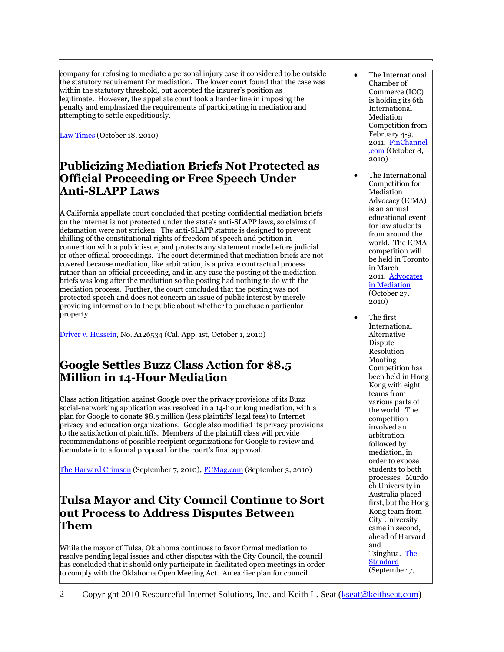company for refusing to mediate a personal injury case it considered to be outside the statutory requirement for mediation. The lower court found that the case was within the statutory threshold, but accepted the insurer's position as legitimate. However, the appellate court took a harder line in imposing the penalty and emphasized the requirements of participating in mediation and attempting to settle expeditiously.

[Law Times](http://www.lawtimesnews.com/201010187724/Headline-News/Insurer-playing-hardball-scores-hefty-fine) (October 18, 2010)

### **Publicizing Mediation Briefs Not Protected as Official Proceeding or Free Speech Under Anti-SLAPP Laws**

A California appellate court concluded that posting confidential mediation briefs on the internet is not protected under the state's anti-SLAPP laws, so claims of defamation were not stricken. The anti-SLAPP statute is designed to prevent chilling of the constitutional rights of freedom of speech and petition in connection with a public issue, and protects any statement made before judicial or other official proceedings. The court determined that mediation briefs are not covered because mediation, like arbitration, is a private contractual process rather than an official proceeding, and in any case the posting of the mediation briefs was long after the mediation so the posting had nothing to do with the mediation process. Further, the court concluded that the posting was not protected speech and does not concern an issue of public interest by merely providing information to the public about whether to purchase a particular property.

[Driver v. Hussein,](http://www.leagle.com/xmlResult.aspx?xmldoc=in%20caco%2020101001024.xml&docbase=cslwar3-2007-curr) No. A126534 (Cal. App. 1st, October 1, 2010)

### **Google Settles Buzz Class Action for \$8.5 Million in 14-Hour Mediation**

Class action litigation against Google over the privacy provisions of its Buzz social-networking application was resolved in a 14-hour long mediation, with a plan for Google to donate \$8.5 million (less plaintiffs' legal fees) to Internet privacy and education organizations. Google also modified its privacy provisions to the satisfaction of plaintiffs. Members of the plaintiff class will provide recommendations of possible recipient organizations for Google to review and formulate into a formal proposal for the court's final approval.

[The Harvard Crimson](http://www.thecrimson.com/article/2010/9/7/google-mason-privacy-settlement/) (September 7, 2010); **PCMag.com** (September 3, 2010)

### **Tulsa Mayor and City Council Continue to Sort out Process to Address Disputes Between Them**

While the mayor of Tulsa, Oklahoma continues to favor formal mediation to resolve pending legal issues and other disputes with the City Council, the council has concluded that it should only participate in facilitated open meetings in order to comply with the Oklahoma Open Meeting Act. An earlier plan for council

- The International Chamber of Commerce (ICC) is holding its 6th International Mediation Competition from February 4-9, 2011. [FinChannel](http://finchannel.com/Main_News/Business/72670_Challenge_on_for_6th_ICC_International_Mediation_Competition_/) [.com](http://finchannel.com/Main_News/Business/72670_Challenge_on_for_6th_ICC_International_Mediation_Competition_/) (October 8. 2010)
- The International Competition for Mediation Advocacy (ICMA) is an annual educational event for law students from around the world. The ICMA competition will be held in Toronto in March 2011. [Advocates](http://www.advinmed.com/ICMA.asp)  [in Mediation](http://www.advinmed.com/ICMA.asp) (October 27, 2010)
- The first International Alternative Dispute Resolution Mooting Competition has been held in Hong Kong with eight teams from various parts of the world. The competition involved an arbitration followed by mediation, in order to expose students to both processes. Murdo ch University in Australia placed first, but the Hong Kong team from City University came in second, ahead of Harvard and Tsinghua. [The](http://www.thestandard.com.hk/news_detail.asp?pp_cat=15&art_id=102623&sid=29492383&con_type=1)  **[Standard](http://www.thestandard.com.hk/news_detail.asp?pp_cat=15&art_id=102623&sid=29492383&con_type=1)** (September 7,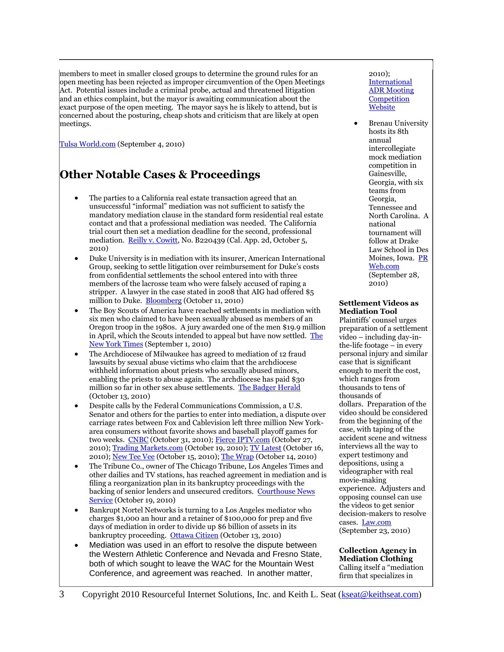members to meet in smaller closed groups to determine the ground rules for an open meeting has been rejected as improper circumvention of the Open Meetings Act. Potential issues include a criminal probe, actual and threatened litigation and an ethics complaint, but the mayor is awaiting communication about the exact purpose of the open meeting. The mayor says he is likely to attend, but is concerned about the posturing, cheap shots and criticism that are likely at open meetings.

[Tulsa World.com](http://www.tulsaworld.com/news/article.aspx?subjectid=334&articleid=20100904_11_A1_Counci491174) (September 4, 2010)

### **Other Notable Cases & Proceedings**

- The parties to a California real estate transaction agreed that an unsuccessful "informal" mediation was not sufficient to satisfy the mandatory mediation clause in the standard form residential real estate contact and that a professional mediation was needed. The California trial court then set a mediation deadline for the second, professional mediation. [Reilly v. Cowitt,](http://www.leagle.com/xmlResult.aspx?xmldoc=in%20caco%2020101005020.xml&docbase=cslwar3-2007-curr) No. B220439 (Cal. App. 2d, October 5, 2010)
- Duke University is in mediation with its insurer, American International Group, seeking to settle litigation over reimbursement for Duke's costs from confidential settlements the school entered into with three members of the lacrosse team who were falsely accused of raping a stripper. A lawyer in the case stated in 2008 that AIG had offered \$5 million to Duke. [Bloomberg](http://www.bloomberg.com/news/2010-10-11/aig-in-talks-to-settle-suit-on-duke-s-costs-from-stripper-lacrosse-cases.html) (October 11, 2010)
- The Boy Scouts of America have reached settlements in mediation with six men who claimed to have been sexually abused as members of an Oregon troop in the 1980s. A jury awarded one of the men \$19.9 million in April, which the Scouts intended to appeal but have now settled. The [New York Times](http://www.nytimes.com/2010/09/02/us/02boyscouts.html?_r=1) (September 1, 2010)
- The Archdiocese of Milwaukee has agreed to mediation of 12 fraud lawsuits by sexual abuse victims who claim that the archdiocese withheld information about priests who sexually abused minors, enabling the priests to abuse again. The archdiocese has paid \$30 million so far in other sex abuse settlements. [The Badger Herald](http://badgerherald.com/news/2010/10/13/archdiocese_of_milwa.php) (October 13, 2010)
- Despite calls by the Federal Communications Commission, a U.S. Senator and others for the parties to enter into mediation, a dispute over carriage rates between Fox and Cablevision left three million New Yorkarea consumers without favorite shows and baseball playoff games for two weeks. [CNBC](http://www.cnbc.com/id/39929622) (October 31, 2010)[; Fierce IPTV.com](http://www.fierceiptv.com/story/fox-cablevision-war-words-goes-dolan-asks-mediation-again/2010-10-27-0) (October 27, 2010); [Trading Markets.com](http://www.tradingmarkets.com/news/stock-alert/nws.a_menendez-urges-cablevision-and-news-corp-to-accept-mediation-in-dispute-that-has-left-fox-channels-d-1239345.html) (October 19, 2010); [TV Latest](http://www.tvlatest.com/article/1612/Fox+pulls+stations+from+Cabelvision) (October 16, 2010); [New Tee Vee](http://newteevee.com/2010/10/15/vid-biz-fox-cablevision-justin-tv-cablecard/) (October 15, 2010); [The Wrap](http://www.thewrap.com/television/article/alcs-looming-cablevision-and-fox-still-fighting-over-retrans-fees-21725) (October 14, 2010)
- The Tribune Co., owner of The Chicago Tribune, Los Angeles Times and other dailies and TV stations, has reached agreement in mediation and is filing a reorganization plan in its bankruptcy proceedings with the backing of senior lenders and unsecured creditors. [Courthouse News](http://www.courthousenews.com/2010/10/19/31186.htm)  [Service](http://www.courthousenews.com/2010/10/19/31186.htm) (October 19, 2010)
- Bankrupt Nortel Networks is turning to a Los Angeles mediator who charges \$1,000 an hour and a retainer of \$100,000 for prep and five days of mediation in order to divide up \$6 billion of assets in its bankruptcy proceeding. [Ottawa Citizen](http://www.ottawacitizen.com/business/Warring+Nortel+groups+turn+mediator+tackle+gets+what/3661802/story.html) (October 13, 2010)
- Mediation was used in an effort to resolve the dispute between the Western Athletic Conference and Nevada and Fresno State, both of which sought to leave the WAC for the Mountain West Conference, and agreement was reached. In another matter,

#### 2010); **International** [ADR Mooting](http://www.cityu.edu.hk/slw/ADR_Moot/index.html)  **Competition** [Website](http://www.cityu.edu.hk/slw/ADR_Moot/index.html)

 Brenau University hosts its 8th annual intercollegiate mock mediation competition in Gainesville, Georgia, with six teams from Georgia, Tennessee and North Carolina. A national tournament will follow at Drake Law School in Des Moines, Iowa. [PR](http://www.prweb.com/releases/2010/mediation/prweb4583094.htm)  [Web.com](http://www.prweb.com/releases/2010/mediation/prweb4583094.htm) (September 28, 2010)

#### **Settlement Videos as Mediation Tool**

Plaintiffs' counsel urges preparation of a settlement video – including day-inthe-life footage – in every personal injury and similar case that is significant enough to merit the cost, which ranges from thousands to tens of thousands of dollars. Preparation of the video should be considered from the beginning of the case, with taping of the accident scene and witness interviews all the way to expert testimony and depositions, using a videographer with real movie-making experience. Adjusters and opposing counsel can use the videos to get senior decision-makers to resolve cases. [Law.com](http://www.law.com/jsp/lawtechnologynews/PubArticleLTN.jsp?id=1202472386318) (September 23, 2010)

#### **Collection Agency in Mediation Clothing** Calling itself a "mediation firm that specializes in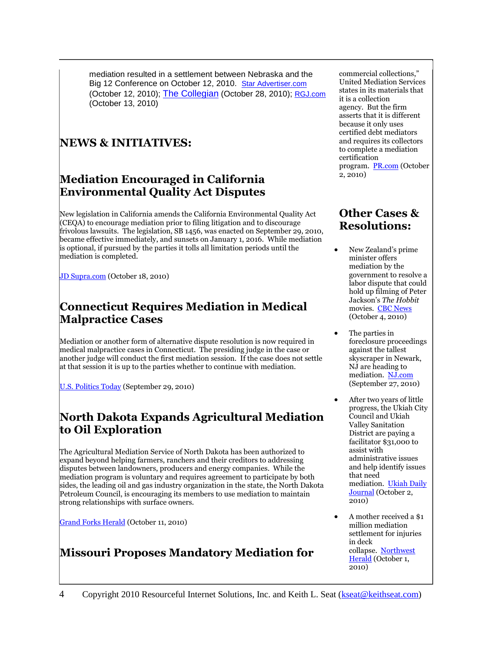mediation resulted in a settlement between Nebraska and the Big 12 Conference on October 12, 2010. [Star Advertiser.com](http://www.staradvertiser.com/sports/sportsnews/20101012_League_negotiating_exits.html) (October 12, 2010); [The Collegian](http://collegian.csufresno.edu/2010/10/28/wac-fresno-state-and-nevada-reach-agreement/) (October 28, 2010); [RGJ.com](http://www.rgj.com/article/20101013/SPORTS06/10130414/1018/SPORTS) (October 13, 2010)

### **NEWS & INITIATIVES:**

### **Mediation Encouraged in California Environmental Quality Act Disputes**

New legislation in California amends the California Environmental Quality Act  $(CEQA)$  to encourage mediation prior to filing litigation and to discourage frivolous lawsuits. The legislation, SB 1456, was enacted on September 29, 2010, became effective immediately, and sunsets on January 1, 2016. While mediation is optional, if pursued by the parties it tolls all limitation periods until the mediation is completed.

[JD Supra.com](http://www.jdsupra.com/post/documentViewer.aspx?fid=fd142a59-0f9a-4c36-9338-190dc8929844) (October 18, 2010)

### **Connecticut Requires Mediation in Medical Malpractice Cases**

Mediation or another form of alternative dispute resolution is now required in medical malpractice cases in Connecticut. The presiding judge in the case or another judge will conduct the first mediation session. If the case does not settle at that session it is up to the parties whether to continue with mediation.

[U.S. Politics Today](http://uspolitics.einnews.com/247pr/172680) (September 29, 2010)

### **North Dakota Expands Agricultural Mediation to Oil Exploration**

The Agricultural Mediation Service of North Dakota has been authorized to expand beyond helping farmers, ranchers and their creditors to addressing disputes between landowners, producers and energy companies. While the mediation program is voluntary and requires agreement to participate by both sides, the leading oil and gas industry organization in the state, the North Dakota Petroleum Council, is encouraging its members to use mediation to maintain strong relationships with surface owners.

[Grand Forks Herald](http://www.grandforksherald.com/event/article/id/178884/group/homepage/) (October 11, 2010)

### **Missouri Proposes Mandatory Mediation for**

commercial collections," United Mediation Services states in its materials that it is a collection agency. But the firm asserts that it is different because it only uses certified debt mediators and requires its collectors to complete a mediation certification program. [PR.com](http://www.pr.com/press-release/266552) (October 2, 2010)

### **Other Cases & Resolutions:**

- New Zealand's prime minister offers mediation by the government to resolve a labor dispute that could hold up filming of Peter Jackson's *The Hobbit* movies. [CBC News](http://www.cbc.ca/arts/film/story/2010/10/04/hobbit-new-zealand.html) (October 4, 2010)
- The parties in foreclosure proceedings against the tallest skyscraper in Newark, NJ are heading to mediation. [NJ.com](http://www.nj.com/news/index.ssf/2010/09/foreclosure_dispute_over_newar.html) (September 27, 2010)
- After two years of little progress, the Ukiah City Council and Ukiah Valley Sanitation District are paying a facilitator \$31,000 to assist with administrative issues and help identify issues that need mediation. [Ukiah Daily](http://www.ukiahdailyjournal.com/ci_16234414)  [Journal](http://www.ukiahdailyjournal.com/ci_16234414) (October 2, 2010)
- A mother received a \$1 million mediation settlement for injuries in deck collapse. [Northwest](http://www.nwherald.com/articles/2010/09/30/r_7jyfvn4ero2blk2zkmnspq/index.xml)  [Herald](http://www.nwherald.com/articles/2010/09/30/r_7jyfvn4ero2blk2zkmnspq/index.xml) (October 1, 2010)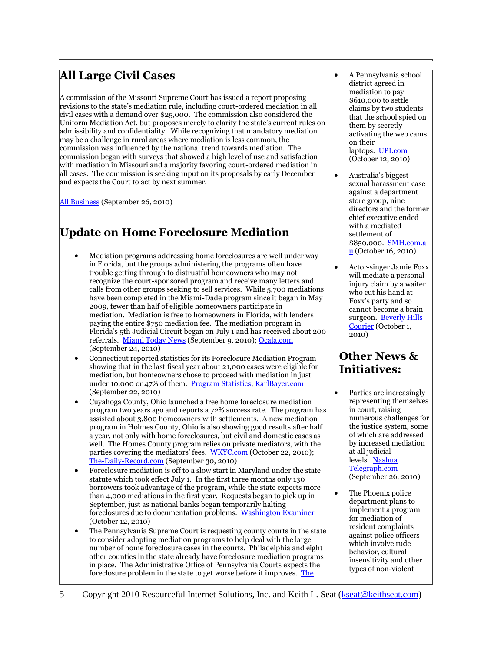# **All Large Civil Cases**

A commission of the Missouri Supreme Court has issued a report proposing revisions to the state's mediation rule, including court-ordered mediation in all civil cases with a demand over \$25,000. The commission also considered the Uniform Mediation Act, but proposes merely to clarify the state's current rules on admissibility and confidentiality. While recognizing that mandatory mediation may be a challenge in rural areas where mediation is less common, the commission was influenced by the national trend towards mediation. The commission began with surveys that showed a high level of use and satisfaction with mediation in Missouri and a majority favoring court-ordered mediation in all cases. The commission is seeking input on its proposals by early December and expects the Court to act by next summer.

[All Business](http://www.allbusiness.com/government/government-bodies-offices-regional/15152951-1.html) (September 26, 2010)

## **Update on Home Foreclosure Mediation**

- Mediation programs addressing home foreclosures are well under way in Florida, but the groups administering the programs often have trouble getting through to distrustful homeowners who may not recognize the court-sponsored program and receive many letters and calls from other groups seeking to sell services. While 5,700 mediations have been completed in the Miami-Dade program since it began in May 2009, fewer than half of eligible homeowners participate in mediation. Mediation is free to homeowners in Florida, with lenders paying the entire \$750 mediation fee. The mediation program in Florida's 5th Judicial Circuit began on July 1 and has received about 200 referrals. [Miami Today News](http://www.miamitodaynews.com/news/100909/story1.shtml) (September 9, 2010)[; Ocala.com](http://www.ocala.com/article/20100924/OBIZ/100929836/-1/entertainment02?p=3&tc=pg) (September 24, 2010)
- Connecticut reported statistics for its Foreclosure Mediation Program showing that in the last fiscal year about 21,000 cases were eligible for mediation, but homeowners chose to proceed with mediation in just under 10,000 or 47% of them. [Program Statistics;](http://www.jud.ct.gov/statistics/FMP/FMP_graph_2010.pdf) [KarlBayer.com](http://www.karlbayer.com/blog/?p=10934) (September 22, 2010)
- Cuyahoga County, Ohio launched a free home foreclosure mediation program two years ago and reports a 72% success rate. The program has assisted about 3,800 homeowners with settlements. A new mediation program in Holmes County, Ohio is also showing good results after half a year, not only with home foreclosures, but civil and domestic cases as well. The Homes County program relies on private mediators, with the parties covering the mediators' fees. [WKYC.com](http://www.wkyc.com/news/local/story.aspx?storyid=154592&catid=3) (October 22, 2010); [The-Daily-Record.com](http://www.the-daily-record.com/news/article/4903586) (September 30, 2010)
- Foreclosure mediation is off to a slow start in Maryland under the state statute which took effect July 1. In the first three months only 130 borrowers took advantage of the program, while the state expects more than 4,000 mediations in the first year. Requests began to pick up in September, just as national banks began temporarily halting foreclosures due to documentation problems. [Washington Examiner](http://www.washingtonexaminer.com/local/Md_-foreclosure-mediation-in-low-demand-1192971-104817894.html) (October 12, 2010)
- The Pennsylvania Supreme Court is requesting county courts in the state to consider adopting mediation programs to help deal with the large number of home foreclosure cases in the courts. Philadelphia and eight other counties in the state already have foreclosure mediation programs in place. The Administrative Office of Pennsylvania Courts expects the foreclosure problem in the state to get worse before it improves. [The](http://www.philly.com/inquirer/local/pa/20100913_Pa__foreclosure_mediation_urged.html)
- A Pennsylvania school district agreed in mediation to pay \$610,000 to settle claims by two students that the school spied on them by secretly activating the web cams on their laptops. [UPI.com](http://www.upi.com/Top_News/US/2010/10/12/School-district-laptop-suits-settled/UPI-42131286917151/) (October 12, 2010)
- Australia's biggest sexual harassment case against a department store group, nine directors and the former chief executive ended with a mediated settlement of \$850,000. [SMH.com.a](http://news.smh.com.au/breaking-news-national/fraserkirk-djs-agree-to-settlement-20101016-16oc3.html)  $\mathbf{u}$  $\mathbf{u}$  $\mathbf{u}$  (October 16, 2010)
- Actor-singer Jamie Foxx will mediate a personal injury claim by a waiter who cut his hand at Foxx's party and so cannot become a brain surgeon. Beverly Hills [Courier](http://67.59.172.92/article/Local_News/Local_News/Personal_Injury_Case_Against_Jamie_Foxx_to_Go_Before_Mediator/71748) (October 1, 2010)

### **Other News & Initiatives:**

- Parties are increasingly representing themselves in court, raising numerous challenges for the justice system, some of which are addressed by increased mediation at all judicial levels. [Nashua](http://www.nashuatelegraph.com/news/864227-196/courts-address-problem-of-rising-number-of.html)  [Telegraph.com](http://www.nashuatelegraph.com/news/864227-196/courts-address-problem-of-rising-number-of.html) (September 26, 2010)
- The Phoenix police department plans to implement a program for mediation of resident complaints against police officers which involve rude behavior, cultural insensitivity and other types of non-violent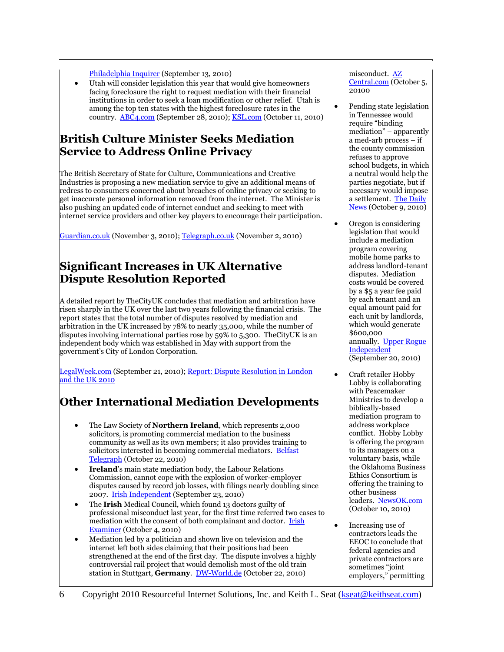[Philadelphia Inquirer](http://www.philly.com/inquirer/local/pa/20100913_Pa__foreclosure_mediation_urged.html) (September 13, 2010)

 Utah will consider legislation this year that would give homeowners facing foreclosure the right to request mediation with their financial institutions in order to seek a loan modification or other relief. Utah is among the top ten states with the highest foreclosure rates in the country. [ABC4.com](http://www.abc4.com/content/news/top%20stories/story/Bailout-for-homeowners-being-planned/qovTVBDQsk6HifnXlNl0YQ.cspx) (September 28, 2010); [KSL.com](http://www.ksl.com/?nid=148&sid=12785366) (October 11, 2010)

### **British Culture Minister Seeks Mediation Service to Address Online Privacy**

The British Secretary of State for Culture, Communications and Creative Industries is proposing a new mediation service to give an additional means of redress to consumers concerned about breaches of online privacy or seeking to get inaccurate personal information removed from the internet. The Minister is also pushing an updated code of internet conduct and seeking to meet with internet service providers and other key players to encourage their participation.

[Guardian.co.uk](http://www.guardian.co.uk/technology/2010/nov/03/google-facebook-new-privacy-code) (November 3, 2010); [Telegraph.co.uk](http://www.telegraph.co.uk/technology/internet/8104584/Government-proposes-internet-mediation-service.html) (November 2, 2010)

### **Significant Increases in UK Alternative Dispute Resolution Reported**

A detailed report by TheCityUK concludes that mediation and arbitration have risen sharply in the UK over the last two years following the financial crisis. The report states that the total number of disputes resolved by mediation and arbitration in the UK increased by 78% to nearly 35,000, while the number of disputes involving international parties rose by 59% to 5,300. TheCityUK is an independent body which was established in May with support from the government's City of London Corporation.

[LegalWeek.com](http://www.legalweek.com/legal-week/news/1734288/new-research-post-crunch-rise-uk-arbitration-mediation) (September 21, 2010); [Report: Dispute Resolution in London](http://www.thecityuk.com/media/183858/dispute%20resolution%202010.pdf)  [and the UK 2010](http://www.thecityuk.com/media/183858/dispute%20resolution%202010.pdf)

# **Other International Mediation Developments**

- The Law Society of **Northern Ireland**, which represents 2,000 solicitors, is promoting commercial mediation to the business community as well as its own members; it also provides training to solicitors interested in becoming commercial mediators. [Belfast](http://www.belfasttelegraph.co.uk/business/business-news/mediation-in-disputes-vital-says-law-society-14983997.html)  [Telegraph](http://www.belfasttelegraph.co.uk/business/business-news/mediation-in-disputes-vital-says-law-society-14983997.html) (October 22, 2010)
- **Ireland**'s main state mediation body, the Labour Relations Commission, cannot cope with the explosion of worker-employer disputes caused by record job losses, with filings nearly doubling since 2007. [Irish Independent](http://www.independent.ie/national-news/mediators-cant-cope-with-surge-in-disputes-2349483.html) (September 23, 2010)
- The **Irish** Medical Council, which found 13 doctors guilty of professional misconduct last year, for the first time referred two cases to mediation with the consent of both complainant and doctor. Irish [Examiner](http://www.examiner.ie/breakingnews/ireland/thirteen-doctors-guilty-of-professional-misconduct-last-year-476336.html) (October 4, 2010)
- Mediation led by a politician and shown live on television and the internet left both sides claiming that their positions had been strengthened at the end of the first day. The dispute involves a highly controversial rail project that would demolish most of the old train station in Stuttgart, **Germany**. [DW-World.de](http://www.dw-world.de/dw/article/0,,6141354,00.html) (October 22, 2010)

misconduct. [AZ](http://www.azcentral.com/community/ahwatukee/articles/2010/10/05/20101005phoenix-police-rude-behavior-targeted.html)  [Central.com](http://www.azcentral.com/community/ahwatukee/articles/2010/10/05/20101005phoenix-police-rude-behavior-targeted.html) (October 5, 20100

- Pending state legislation in Tennessee would require "binding mediation" – apparently a med-arb process – if the county commission refuses to approve school budgets, in which a neutral would help the parties negotiate, but if necessary would impose a settlement. [The Daily](http://www.memphisdailynews.com/editorial/Article.aspx?id=53393)  [News](http://www.memphisdailynews.com/editorial/Article.aspx?id=53393) (October 9, 2010)
- Oregon is considering legislation that would include a mediation program covering mobile home parks to address landlord-tenant disputes. Mediation costs would be covered by a \$5 a year fee paid by each tenant and an equal amount paid for each unit by landlords, which would generate \$600,000 annually. [Upper Rogue](http://www.urindependent.com/index.php?option=com_content&view=article&id=3328:mediation-bill-proposed-to-address-manufactured-park-issues&catid=14:featured&Itemid=37)  **[Independent](http://www.urindependent.com/index.php?option=com_content&view=article&id=3328:mediation-bill-proposed-to-address-manufactured-park-issues&catid=14:featured&Itemid=37)** (September 20, 2010)
- Craft retailer Hobby Lobby is collaborating with Peacemaker Ministries to develop a biblically-based mediation program to address workplace conflict. Hobby Lobby is offering the program to its managers on a voluntary basis, while the Oklahoma Business Ethics Consortium is offering the training to other business leaders. [NewsOK.com](http://newsok.com/hobby-lobby-joins-with-montana-ministry-to-craft-conflict-resolution-program-for-the-workplace/article/3503070) (October 10, 2010)
- Increasing use of contractors leads the EEOC to conclude that federal agencies and private contractors are sometimes "joint employers," permitting